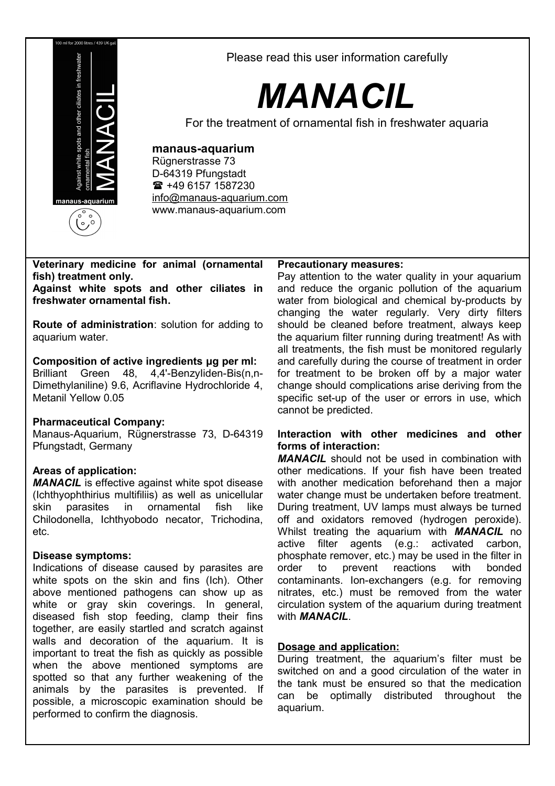

Please read this user information carefully

# *MANACIL*

For the treatment of ornamental fish in freshwater aquaria

# **manaus-aquarium**

Rügnerstrasse 73 D-64319 Pfungstadt  $\frac{1}{2}$  +49 6157 1587230 [info@manaus-aquarium.com](mailto:info@manaus-aquarium.com) www.manaus-aquarium.com

# **Veterinary medicine for animal (ornamental fish) treatment only.**

**Against white spots and other ciliates in freshwater ornamental fish.**

**Route of administration**: solution for adding to aquarium water.

# **Composition of active ingredients μg per ml:**

Brilliant Green 48, 4,4'-BenzyIiden-Bis(n,n-Dimethylaniline) 9.6, Acriflavine Hydrochloride 4, Metanil Yellow 0.05

# **Pharmaceutical Company:**

Manaus-Aquarium, Rügnerstrasse 73, D-64319 Pfungstadt, Germany

# **Areas of application:**

*MANACIL* is effective against white spot disease (Ichthyophthirius multifiliis) as well as unicellular skin parasites in ornamental fish like Chilodonella, Ichthyobodo necator, Trichodina, etc.

# **Disease symptoms:**

Indications of disease caused by parasites are white spots on the skin and fins (Ich). Other above mentioned pathogens can show up as white or gray skin coverings. In general, diseased fish stop feeding, clamp their fins together, are easily startled and scratch against walls and decoration of the aquarium. It is important to treat the fish as quickly as possible when the above mentioned symptoms are spotted so that any further weakening of the animals by the parasites is prevented. If possible, a microscopic examination should be performed to confirm the diagnosis.

#### **Precautionary measures:**

Pay attention to the water quality in your aquarium and reduce the organic pollution of the aquarium water from biological and chemical by-products by changing the water regularly. Very dirty filters should be cleaned before treatment, always keep the aquarium filter running during treatment! As with all treatments, the fish must be monitored regularly and carefully during the course of treatment in order for treatment to be broken off by a major water change should complications arise deriving from the specific set-up of the user or errors in use, which cannot be predicted.

#### **Interaction with other medicines and other forms of interaction:**

*MANACIL* should not be used in combination with other medications. If your fish have been treated with another medication beforehand then a major water change must be undertaken before treatment. During treatment, UV lamps must always be turned off and oxidators removed (hydrogen peroxide). Whilst treating the aquarium with *MANACIL* no active filter agents (e.g.: activated carbon, phosphate remover, etc.) may be used in the filter in order to prevent reactions with bonded contaminants. Ion-exchangers (e.g. for removing nitrates, etc.) must be removed from the water circulation system of the aquarium during treatment with *MANACIL*.

# **Dosage and application:**

During treatment, the aquarium's filter must be switched on and a good circulation of the water in the tank must be ensured so that the medication can be optimally distributed throughout the aquarium.